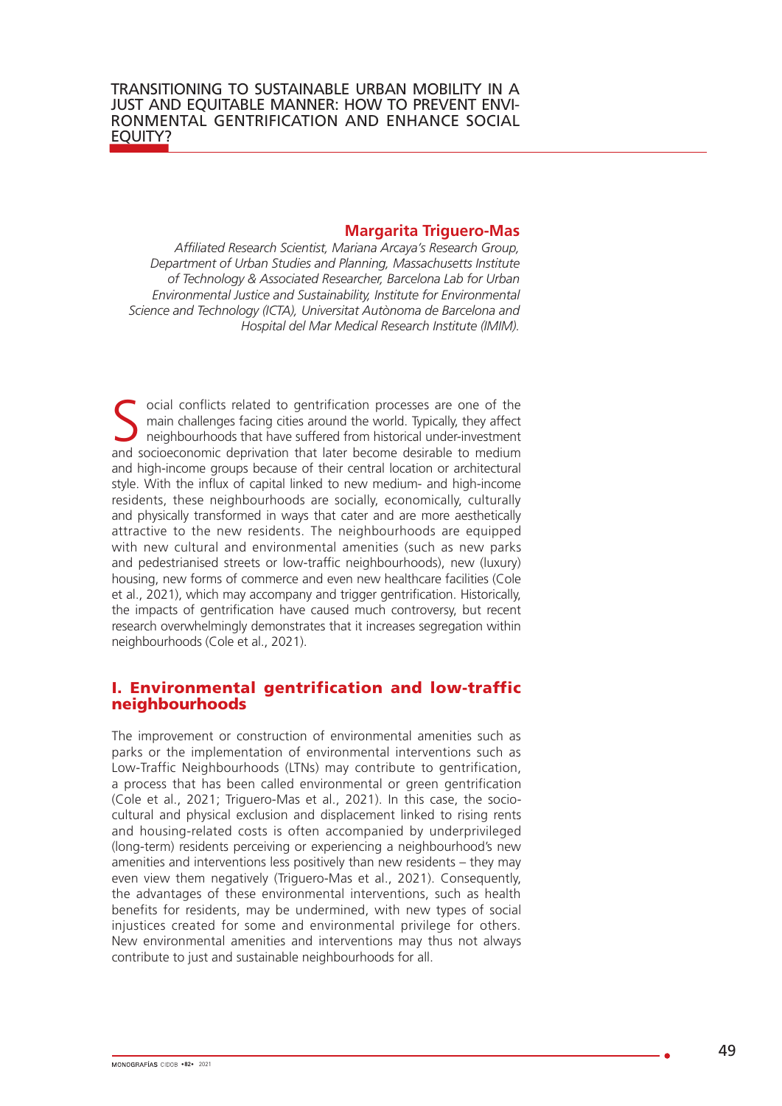#### **Margarita Triguero-Mas**

*Affiliated Research Scientist, Mariana Arcaya's Research Group, Department of Urban Studies and Planning, Massachusetts Institute of Technology & Associated Researcher, Barcelona Lab for Urban Environmental Justice and Sustainability, Institute for Environmental Science and Technology (ICTA), Universitat Autònoma de Barcelona and Hospital del Mar Medical Research Institute (IMIM).* 

S ocial conflicts related to gentrification processes are one of the main challenges facing cities around the world. Typically, they affect neighbourhoods that have suffered from historical under-investment and socioeconom main challenges facing cities around the world. Typically, they affect and socioeconomic deprivation that later become desirable to medium and high-income groups because of their central location or architectural style. With the influx of capital linked to new medium- and high-income residents, these neighbourhoods are socially, economically, culturally and physically transformed in ways that cater and are more aesthetically attractive to the new residents. The neighbourhoods are equipped with new cultural and environmental amenities (such as new parks and pedestrianised streets or low-traffic neighbourhoods), new (luxury) housing, new forms of commerce and even new healthcare facilities (Cole et al., 2021), which may accompany and trigger gentrification. Historically, the impacts of gentrification have caused much controversy, but recent research overwhelmingly demonstrates that it increases segregation within neighbourhoods (Cole et al., 2021).

### I. Environmental gentrification and low-traffic neighbourhoods

The improvement or construction of environmental amenities such as parks or the implementation of environmental interventions such as Low-Traffic Neighbourhoods (LTNs) may contribute to gentrification, a process that has been called environmental or green gentrification (Cole et al., 2021; Triguero-Mas et al., 2021). In this case, the sociocultural and physical exclusion and displacement linked to rising rents and housing-related costs is often accompanied by underprivileged (long-term) residents perceiving or experiencing a neighbourhood's new amenities and interventions less positively than new residents – they may even view them negatively (Triguero-Mas et al., 2021). Consequently, the advantages of these environmental interventions, such as health benefits for residents, may be undermined, with new types of social injustices created for some and environmental privilege for others. New environmental amenities and interventions may thus not always contribute to just and sustainable neighbourhoods for all.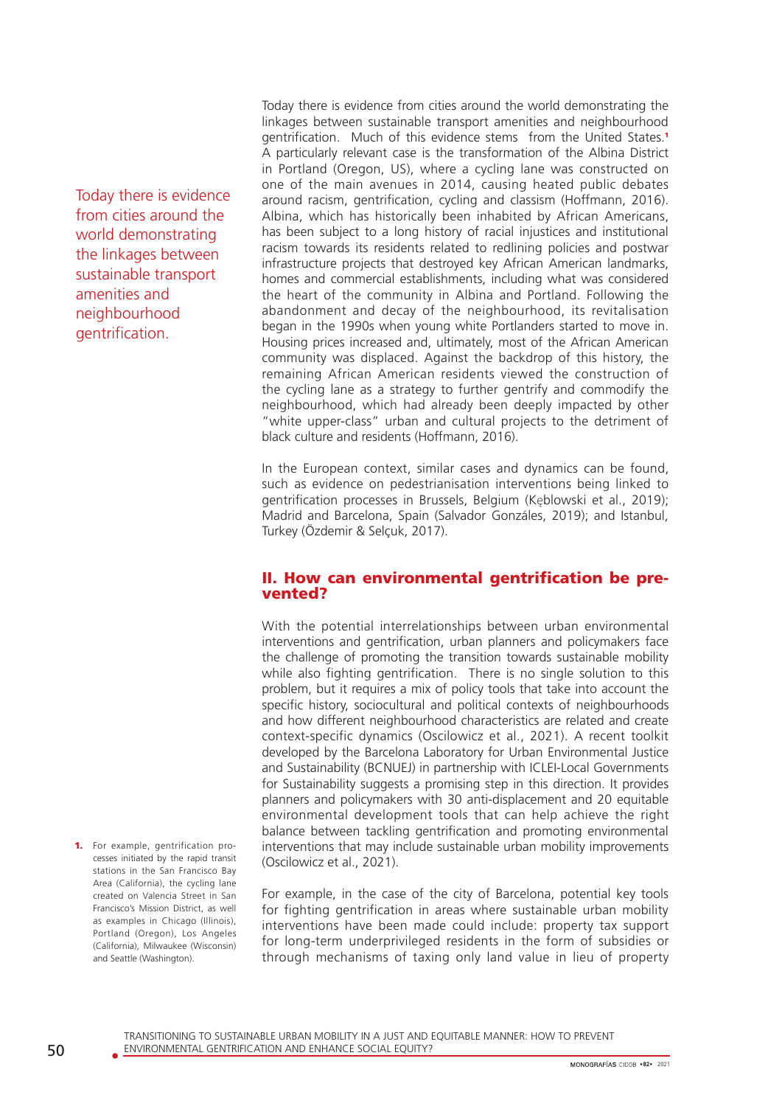Today there is evidence from cities around the world demonstrating the linkages between sustainable transport amenities and neighbourhood gentrification.

Today there is evidence from cities around the world demonstrating the linkages between sustainable transport amenities and neighbourhood gentrification. Much of this evidence stems from the United States.<sup>1</sup> A particularly relevant case is the transformation of the Albina District in Portland (Oregon, US), where a cycling lane was constructed on one of the main avenues in 2014, causing heated public debates around racism, gentrification, cycling and classism (Hoffmann, 2016). Albina, which has historically been inhabited by African Americans, has been subject to a long history of racial injustices and institutional racism towards its residents related to redlining policies and postwar infrastructure projects that destroyed key African American landmarks, homes and commercial establishments, including what was considered the heart of the community in Albina and Portland. Following the abandonment and decay of the neighbourhood, its revitalisation began in the 1990s when young white Portlanders started to move in. Housing prices increased and, ultimately, most of the African American community was displaced. Against the backdrop of this history, the remaining African American residents viewed the construction of the cycling lane as a strategy to further gentrify and commodify the neighbourhood, which had already been deeply impacted by other "white upper-class" urban and cultural projects to the detriment of black culture and residents (Hoffmann, 2016).

In the European context, similar cases and dynamics can be found, such as evidence on pedestrianisation interventions being linked to gentrification processes in Brussels, Belgium (Kęblowski et al., 2019); Madrid and Barcelona, Spain (Salvador Gonzáles, 2019); and Istanbul, Turkey (Özdemir & Selçuk, 2017).

### II. How can environmental gentrification be prevented?

With the potential interrelationships between urban environmental interventions and gentrification, urban planners and policymakers face the challenge of promoting the transition towards sustainable mobility while also fighting gentrification. There is no single solution to this problem, but it requires a mix of policy tools that take into account the specific history, sociocultural and political contexts of neighbourhoods and how different neighbourhood characteristics are related and create context-specific dynamics (Oscilowicz et al., 2021). A recent toolkit developed by the Barcelona Laboratory for Urban Environmental Justice and Sustainability (BCNUEJ) in partnership with ICLEI-Local Governments for Sustainability suggests a promising step in this direction. It provides planners and policymakers with 30 anti-displacement and 20 equitable environmental development tools that can help achieve the right balance between tackling gentrification and promoting environmental interventions that may include sustainable urban mobility improvements (Oscilowicz et al., 2021).

For example, in the case of the city of Barcelona, potential key tools for fighting gentrification in areas where sustainable urban mobility interventions have been made could include: property tax support for long-term underprivileged residents in the form of subsidies or through mechanisms of taxing only land value in lieu of property

1. For example, gentrification processes initiated by the rapid transit stations in the San Francisco Bay Area (California), the cycling lane created on Valencia Street in San Francisco's Mission District, as well as examples in Chicago (Illinois), Portland (Oregon), Los Angeles (California), Milwaukee (Wisconsin) and Seattle (Washington).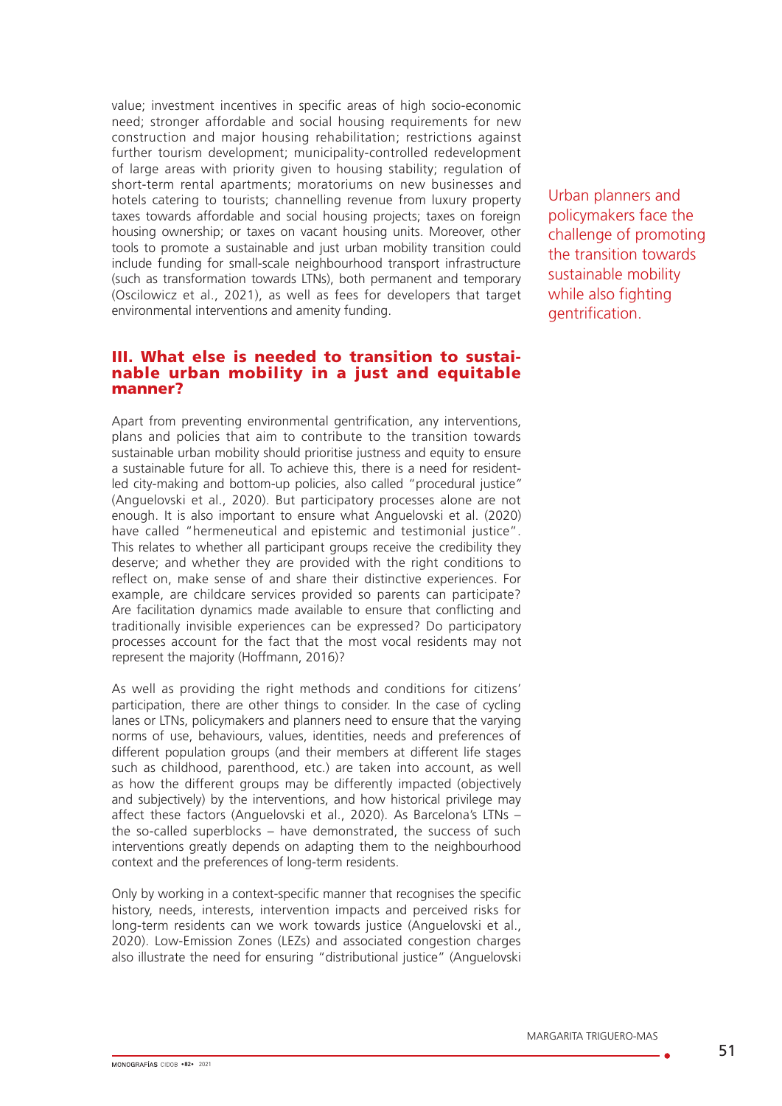value; investment incentives in specific areas of high socio-economic need; stronger affordable and social housing requirements for new construction and major housing rehabilitation; restrictions against further tourism development; municipality-controlled redevelopment of large areas with priority given to housing stability; regulation of short-term rental apartments; moratoriums on new businesses and hotels catering to tourists; channelling revenue from luxury property taxes towards affordable and social housing projects; taxes on foreign housing ownership; or taxes on vacant housing units. Moreover, other tools to promote a sustainable and just urban mobility transition could include funding for small-scale neighbourhood transport infrastructure (such as transformation towards LTNs), both permanent and temporary (Oscilowicz et al., 2021), as well as fees for developers that target environmental interventions and amenity funding.

#### III. What else is needed to transition to sustainable urban mobility in a just and equitable manner?

Apart from preventing environmental gentrification, any interventions, plans and policies that aim to contribute to the transition towards sustainable urban mobility should prioritise justness and equity to ensure a sustainable future for all. To achieve this, there is a need for residentled city-making and bottom-up policies, also called "procedural justice*"* (Anguelovski et al., 2020). But participatory processes alone are not enough. It is also important to ensure what Anguelovski et al. (2020) have called "hermeneutical and epistemic and testimonial iustice". This relates to whether all participant groups receive the credibility they deserve; and whether they are provided with the right conditions to reflect on, make sense of and share their distinctive experiences. For example, are childcare services provided so parents can participate? Are facilitation dynamics made available to ensure that conflicting and traditionally invisible experiences can be expressed? Do participatory processes account for the fact that the most vocal residents may not represent the majority (Hoffmann, 2016)?

As well as providing the right methods and conditions for citizens' participation, there are other things to consider. In the case of cycling lanes or LTNs, policymakers and planners need to ensure that the varying norms of use, behaviours, values, identities, needs and preferences of different population groups (and their members at different life stages such as childhood, parenthood, etc.) are taken into account, as well as how the different groups may be differently impacted (objectively and subjectively) by the interventions, and how historical privilege may affect these factors (Anguelovski et al., 2020). As Barcelona's LTNs – the so-called superblocks – have demonstrated, the success of such interventions greatly depends on adapting them to the neighbourhood context and the preferences of long-term residents.

Only by working in a context-specific manner that recognises the specific history, needs, interests, intervention impacts and perceived risks for long-term residents can we work towards justice (Anguelovski et al., 2020). Low-Emission Zones (LEZs) and associated congestion charges also illustrate the need for ensuring "distributional justice" (Anguelovski Urban planners and policymakers face the challenge of promoting the transition towards sustainable mobility while also fighting gentrification.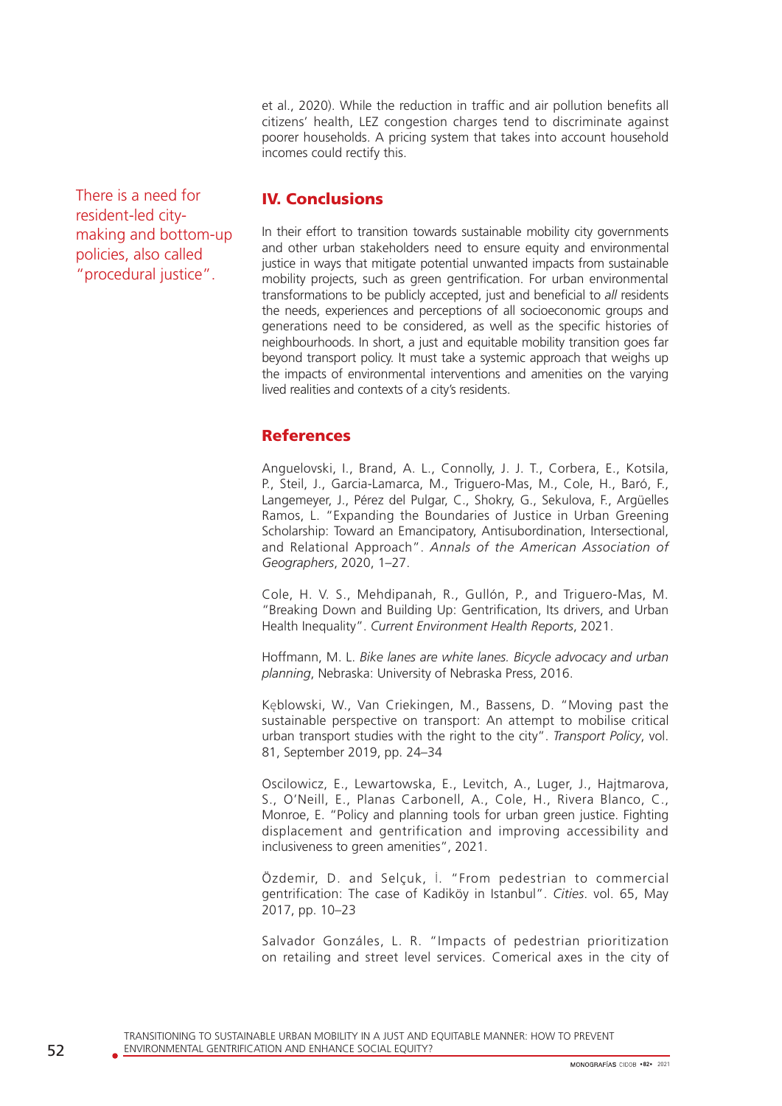et al., 2020). While the reduction in traffic and air pollution benefits all citizens' health, LEZ congestion charges tend to discriminate against poorer households. A pricing system that takes into account household incomes could rectify this.

There is a need for resident-led citymaking and bottom-up policies, also called "procedural justice".

# IV. Conclusions

In their effort to transition towards sustainable mobility city governments and other urban stakeholders need to ensure equity and environmental justice in ways that mitigate potential unwanted impacts from sustainable mobility projects, such as green gentrification. For urban environmental transformations to be publicly accepted, just and beneficial to *all* residents the needs, experiences and perceptions of all socioeconomic groups and generations need to be considered, as well as the specific histories of neighbourhoods. In short, a just and equitable mobility transition goes far beyond transport policy. It must take a systemic approach that weighs up the impacts of environmental interventions and amenities on the varying lived realities and contexts of a city's residents.

# References

Anguelovski, I., Brand, A. L., Connolly, J. J. T., Corbera, E., Kotsila, P., Steil, J., Garcia-Lamarca, M., Triguero-Mas, M., Cole, H., Baró, F., Langemeyer, J., Pérez del Pulgar, C., Shokry, G., Sekulova, F., Argüelles Ramos, L. "Expanding the Boundaries of Justice in Urban Greening Scholarship: Toward an Emancipatory, Antisubordination, Intersectional, and Relational Approach". *Annals of the American Association of Geographers*, 2020, 1–27.

Cole, H. V. S., Mehdipanah, R., Gullón, P., and Triguero-Mas, M. "Breaking Down and Building Up: Gentrification, Its drivers, and Urban Health Inequality". *Current Environment Health Reports*, 2021.

Hoffmann, M. L. *Bike lanes are white lanes. Bicycle advocacy and urban planning*, Nebraska: University of Nebraska Press, 2016.

Kęblowski, W., Van Criekingen, M., Bassens, D. "Moving past the sustainable perspective on transport: An attempt to mobilise critical urban transport studies with the right to the city". *Transport Policy*, vol. 81, September 2019, pp. 24–34

Oscilowicz, E., Lewartowska, E., Levitch, A., Luger, J., Hajtmarova, S., O'Neill, E., Planas Carbonell, A., Cole, H., Rivera Blanco, C., Monroe, E. "Policy and planning tools for urban green justice. Fighting displacement and gentrification and improving accessibility and inclusiveness to green amenities", 2021.

Özdemir, D. and Selçuk, İ. "From pedestrian to commercial gentrification: The case of Kadiköy in Istanbul". *Cities*. vol. 65, May 2017, pp. 10–23

Salvador Gonzáles, L. R. "Impacts of pedestrian prioritization on retailing and street level services. Comerical axes in the city of

TRANSITIONING TO SUSTAINABLE URBAN MOBILITY IN A JUST AND EQUITABLE MANNER: HOW TO PREVENT 52 ENVIRONMENTAL GENTRIFICATION AND ENHANCE SOCIAL EQUITY?